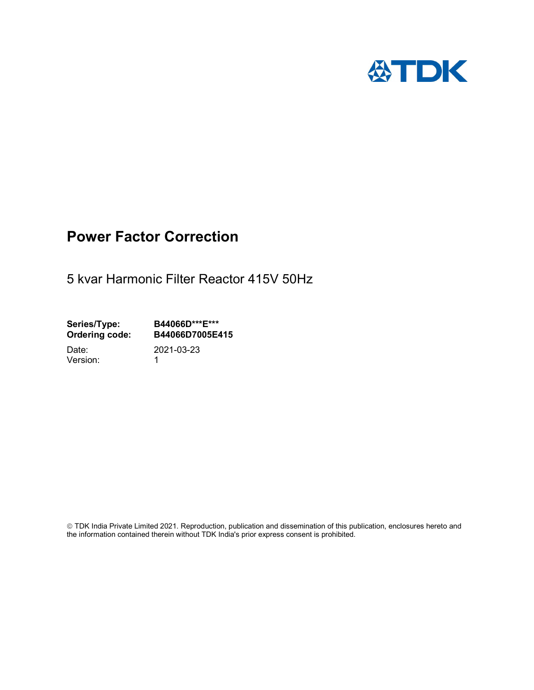

# Power Factor Correction

5 kvar Harmonic Filter Reactor 415V 50Hz

Series/Type: B44066D\*\*\*E\*\*\*<br>Ordering code: B44066D7005E4 B44066D7005E415

Version: 1

Date: 2021-03-23

 TDK India Private Limited 2021. Reproduction, publication and dissemination of this publication, enclosures hereto and the information contained therein without TDK India's prior express consent is prohibited.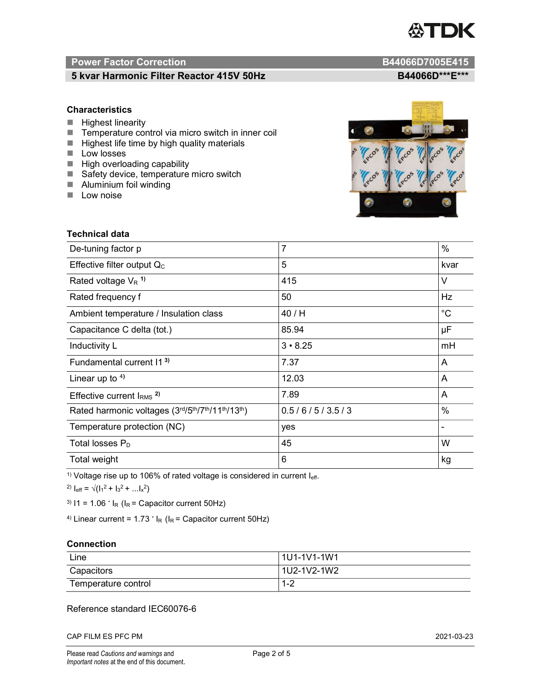

# Power Factor Correction B44066D7005E415

# 5 kvar Harmonic Filter Reactor 415V 50Hz B44066D\*\*\*E\*\*\*

### **Characteristics**

- $H$  Highest linearity
- Temperature control via micro switch in inner coil
- $\blacksquare$  Highest life time by high quality materials
- **Low losses**
- $\blacksquare$  High overloading capability
- Safety device, temperature micro switch
- **Aluminium foil winding**
- **Low noise**



| Technical data                                  |                |             |
|-------------------------------------------------|----------------|-------------|
| De-tuning factor p                              | $\overline{7}$ | %           |
| Effective filter output $Q_C$                   | 5              | kvar        |
| Rated voltage $V_R$ <sup>1)</sup>               | 415            | V           |
| Rated frequency f                               | 50             | <b>Hz</b>   |
| Ambient temperature / Insulation class          | 40 / H         | $^{\circ}C$ |
| Capacitance C delta (tot.)                      | 85.94          | μF          |
| Inductivity L                                   | $3 \cdot 8.25$ | mH          |
| Fundamental current 11 <sup>3)</sup>            | 7.37           | A           |
| Linear up to $4$ )                              | 12.03          | A           |
| Effective current $IRMS$ <sup>2)</sup>          | 7.89           | A           |
| Rated harmonic voltages (3rd/5th/7th/11th/13th) | 0.5/6/5/3.5/3  | $\%$        |
| Temperature protection (NC)                     | yes            |             |
| Total losses $P_D$                              | 45             | W           |
| Total weight                                    | 6              | kg          |

<sup>1)</sup> Voltage rise up to 106% of rated voltage is considered in current  $I_{\text{eff}}$ .

<sup>2)</sup>  $I_{eff} = \sqrt{(I_1^2 + I_3^2 + ... I_x^2)}$ 

<sup>3)</sup>  $11 = 1.06$   $\cdot$   $I_R$  ( $I_R$  = Capacitor current 50Hz)

<sup>4)</sup> Linear current =  $1.73$   $\cdot$  I<sub>R</sub> (I<sub>R</sub> = Capacitor current 50Hz)

#### **Connection**

| Line                | l 1U1-1V1-1W1       |
|---------------------|---------------------|
| Capacitors          | l 1U2-1V2-1W2       |
| Temperature control | <u> 4 ຕ</u><br>ے- ا |

### Reference standard IEC60076-6

CAP FILM ES PFC PM 2021-03-23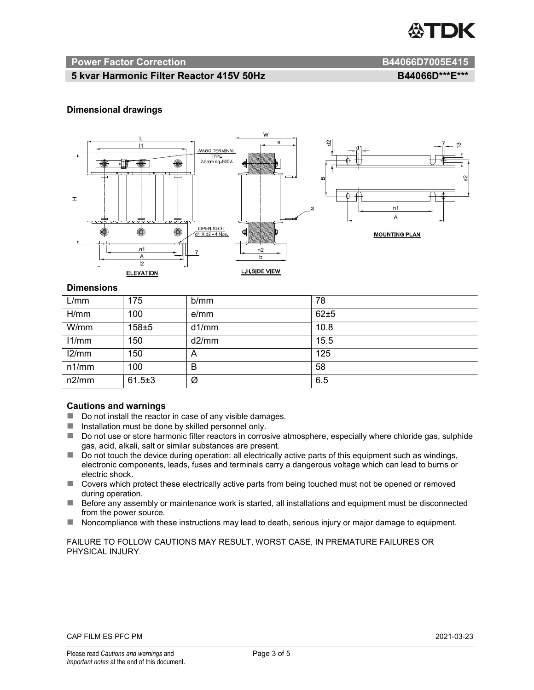

#### Power Factor Correction and B44066D7005E415

## 5 kvar Harmonic Filter Reactor 415V 50Hz BA4066D\*\*\*E\*\*\*

#### Dimensional drawings



#### **Dimensions**

| L/mm  | 175          | b/mm  | 78   |
|-------|--------------|-------|------|
| H/mm  | 100          | e/mm  | 62±5 |
| W/mm  | $158 + 5$    | d1/mm | 10.8 |
| 11/mm | 150          | d2/mm | 15.5 |
| 12/mm | 150          | A     | 125  |
| n1/mm | 100          | B     | 58   |
| n2/mm | $61.5 \pm 3$ | Ø     | 6.5  |

#### Cautions and warnings

- Do not install the reactor in case of any visible damages.
- $\blacksquare$  Installation must be done by skilled personnel only.
- Do not use or store harmonic filter reactors in corrosive atmosphere, especially where chloride gas, sulphide gas, acid, alkali, salt or similar substances are present.
- Do not touch the device during operation: all electrically active parts of this equipment such as windings, electronic components, leads, fuses and terminals carry a dangerous voltage which can lead to burns or electric shock.
- Covers which protect these electrically active parts from being touched must not be opened or removed during operation.
- Before any assembly or maintenance work is started, all installations and equipment must be disconnected from the power source.
- Noncompliance with these instructions may lead to death, serious injury or major damage to equipment.

FAILURE TO FOLLOW CAUTIONS MAY RESULT, WORST CASE, IN PREMATURE FAILURES OR PHYSICAL INJURY.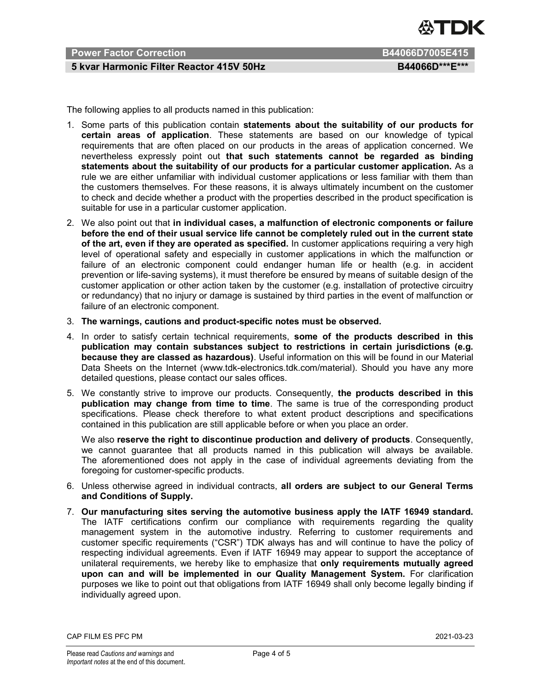

# Power Factor Correction B44066D7005E415

### 5 kvar Harmonic Filter Reactor 415V 50Hz BA4066D\*\*\*E\*\*\*

The following applies to all products named in this publication:

- 1. Some parts of this publication contain statements about the suitability of our products for certain areas of application. These statements are based on our knowledge of typical requirements that are often placed on our products in the areas of application concerned. We nevertheless expressly point out that such statements cannot be regarded as binding statements about the suitability of our products for a particular customer application. As a rule we are either unfamiliar with individual customer applications or less familiar with them than the customers themselves. For these reasons, it is always ultimately incumbent on the customer to check and decide whether a product with the properties described in the product specification is suitable for use in a particular customer application.
- 2. We also point out that in individual cases, a malfunction of electronic components or failure before the end of their usual service life cannot be completely ruled out in the current state of the art, even if they are operated as specified. In customer applications requiring a very high level of operational safety and especially in customer applications in which the malfunction or failure of an electronic component could endanger human life or health (e.g. in accident prevention or life-saving systems), it must therefore be ensured by means of suitable design of the customer application or other action taken by the customer (e.g. installation of protective circuitry or redundancy) that no injury or damage is sustained by third parties in the event of malfunction or failure of an electronic component.
- 3. The warnings, cautions and product-specific notes must be observed.
- 4. In order to satisfy certain technical requirements, some of the products described in this publication may contain substances subject to restrictions in certain jurisdictions (e.g. because they are classed as hazardous). Useful information on this will be found in our Material Data Sheets on the Internet (www.tdk-electronics.tdk.com/material). Should you have any more detailed questions, please contact our sales offices.
- 5. We constantly strive to improve our products. Consequently, the products described in this publication may change from time to time. The same is true of the corresponding product specifications. Please check therefore to what extent product descriptions and specifications contained in this publication are still applicable before or when you place an order.

We also reserve the right to discontinue production and delivery of products. Consequently, we cannot guarantee that all products named in this publication will always be available. The aforementioned does not apply in the case of individual agreements deviating from the foregoing for customer-specific products.

- 6. Unless otherwise agreed in individual contracts, all orders are subject to our General Terms and Conditions of Supply.
- 7. Our manufacturing sites serving the automotive business apply the IATF 16949 standard. The IATF certifications confirm our compliance with requirements regarding the quality management system in the automotive industry. Referring to customer requirements and customer specific requirements ("CSR") TDK always has and will continue to have the policy of respecting individual agreements. Even if IATF 16949 may appear to support the acceptance of unilateral requirements, we hereby like to emphasize that only requirements mutually agreed upon can and will be implemented in our Quality Management System. For clarification purposes we like to point out that obligations from IATF 16949 shall only become legally binding if individually agreed upon.